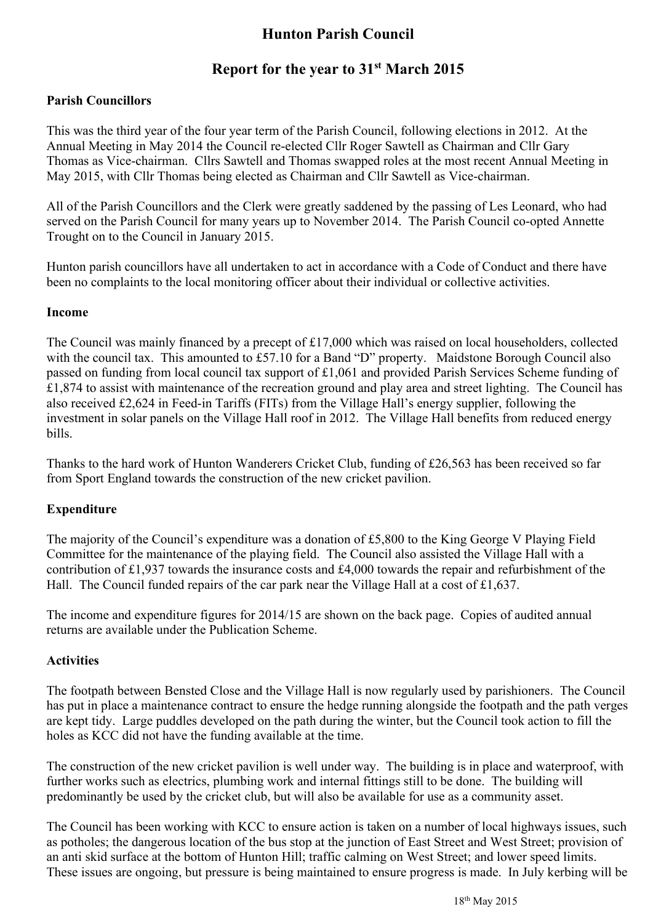# **Hunton Parish Council**

## **Report for the year to 31st March 2015**

#### **Parish Councillors**

This was the third year of the four year term of the Parish Council, following elections in 2012. At the Annual Meeting in May 2014 the Council re-elected Cllr Roger Sawtell as Chairman and Cllr Gary Thomas as Vice-chairman. Cllrs Sawtell and Thomas swapped roles at the most recent Annual Meeting in May 2015, with Cllr Thomas being elected as Chairman and Cllr Sawtell as Vice-chairman.

All of the Parish Councillors and the Clerk were greatly saddened by the passing of Les Leonard, who had served on the Parish Council for many years up to November 2014. The Parish Council co-opted Annette Trought on to the Council in January 2015.

Hunton parish councillors have all undertaken to act in accordance with a Code of Conduct and there have been no complaints to the local monitoring officer about their individual or collective activities.

#### **Income**

The Council was mainly financed by a precept of £17,000 which was raised on local householders, collected with the council tax. This amounted to £57.10 for a Band "D" property. Maidstone Borough Council also passed on funding from local council tax support of £1,061 and provided Parish Services Scheme funding of  $£1,874$  to assist with maintenance of the recreation ground and play area and street lighting. The Council has also received £2,624 in Feed-in Tariffs (FITs) from the Village Hall's energy supplier, following the investment in solar panels on the Village Hall roof in 2012. The Village Hall benefits from reduced energy bills.

Thanks to the hard work of Hunton Wanderers Cricket Club, funding of £26,563 has been received so far from Sport England towards the construction of the new cricket pavilion.

#### **Expenditure**

The majority of the Council's expenditure was a donation of £5,800 to the King George V Playing Field Committee for the maintenance of the playing field. The Council also assisted the Village Hall with a contribution of £1,937 towards the insurance costs and £4,000 towards the repair and refurbishment of the Hall. The Council funded repairs of the car park near the Village Hall at a cost of £1,637.

The income and expenditure figures for 2014/15 are shown on the back page. Copies of audited annual returns are available under the Publication Scheme.

#### **Activities**

The footpath between Bensted Close and the Village Hall is now regularly used by parishioners. The Council has put in place a maintenance contract to ensure the hedge running alongside the footpath and the path verges are kept tidy. Large puddles developed on the path during the winter, but the Council took action to fill the holes as KCC did not have the funding available at the time.

The construction of the new cricket pavilion is well under way. The building is in place and waterproof, with further works such as electrics, plumbing work and internal fittings still to be done. The building will predominantly be used by the cricket club, but will also be available for use as a community asset.

The Council has been working with KCC to ensure action is taken on a number of local highways issues, such as potholes; the dangerous location of the bus stop at the junction of East Street and West Street; provision of an anti skid surface at the bottom of Hunton Hill; traffic calming on West Street; and lower speed limits. These issues are ongoing, but pressure is being maintained to ensure progress is made. In July kerbing will be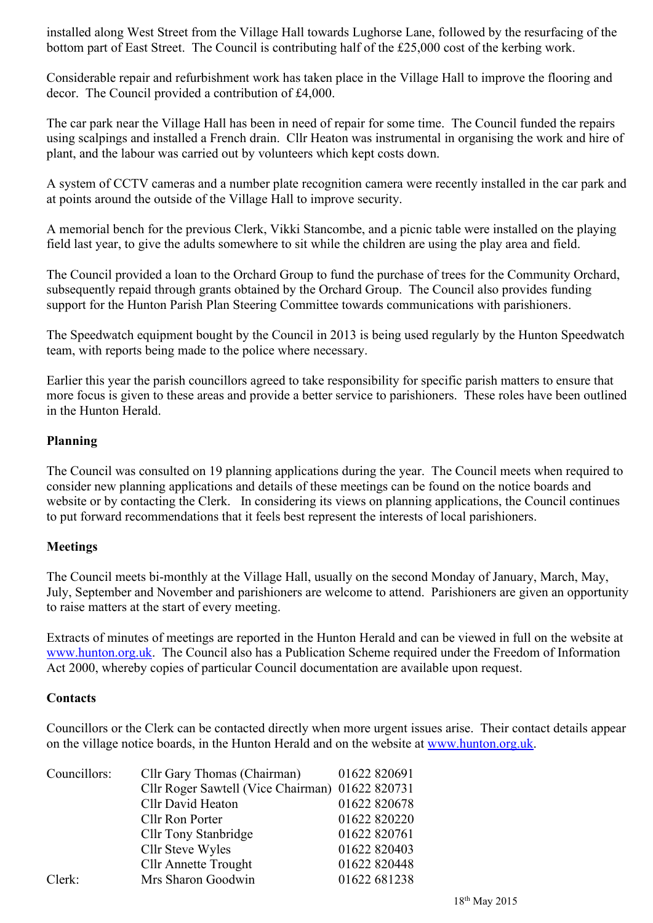installed along West Street from the Village Hall towards Lughorse Lane, followed by the resurfacing of the bottom part of East Street. The Council is contributing half of the £25,000 cost of the kerbing work.

Considerable repair and refurbishment work has taken place in the Village Hall to improve the flooring and decor. The Council provided a contribution of £4,000.

The car park near the Village Hall has been in need of repair for some time. The Council funded the repairs using scalpings and installed a French drain. Cllr Heaton was instrumental in organising the work and hire of plant, and the labour was carried out by volunteers which kept costs down.

A system of CCTV cameras and a number plate recognition camera were recently installed in the car park and at points around the outside of the Village Hall to improve security.

A memorial bench for the previous Clerk, Vikki Stancombe, and a picnic table were installed on the playing field last year, to give the adults somewhere to sit while the children are using the play area and field.

The Council provided a loan to the Orchard Group to fund the purchase of trees for the Community Orchard, subsequently repaid through grants obtained by the Orchard Group. The Council also provides funding support for the Hunton Parish Plan Steering Committee towards communications with parishioners.

The Speedwatch equipment bought by the Council in 2013 is being used regularly by the Hunton Speedwatch team, with reports being made to the police where necessary.

Earlier this year the parish councillors agreed to take responsibility for specific parish matters to ensure that more focus is given to these areas and provide a better service to parishioners. These roles have been outlined in the Hunton Herald.

#### **Planning**

The Council was consulted on 19 planning applications during the year. The Council meets when required to consider new planning applications and details of these meetings can be found on the notice boards and website or by contacting the Clerk. In considering its views on planning applications, the Council continues to put forward recommendations that it feels best represent the interests of local parishioners.

#### **Meetings**

The Council meets bi-monthly at the Village Hall, usually on the second Monday of January, March, May, July, September and November and parishioners are welcome to attend. Parishioners are given an opportunity to raise matters at the start of every meeting.

Extracts of minutes of meetings are reported in the Hunton Herald and can be viewed in full on the website at www.hunton.org.uk. The Council also has a Publication Scheme required under the Freedom of Information Act 2000, whereby copies of particular Council documentation are available upon request.

#### **Contacts**

Councillors or the Clerk can be contacted directly when more urgent issues arise. Their contact details appear on the village notice boards, in the Hunton Herald and on the website at www.hunton.org.uk.

| Councillors: | Cllr Gary Thomas (Chairman)                     | 01622 820691 |
|--------------|-------------------------------------------------|--------------|
|              | Cllr Roger Sawtell (Vice Chairman) 01622 820731 |              |
|              | Cllr David Heaton                               | 01622 820678 |
|              | Cllr Ron Porter                                 | 01622 820220 |
|              | Cllr Tony Stanbridge                            | 01622 820761 |
|              | Cllr Steve Wyles                                | 01622 820403 |
|              | <b>Cllr Annette Trought</b>                     | 01622 820448 |
| Clerk:       | Mrs Sharon Goodwin                              | 01622 681238 |